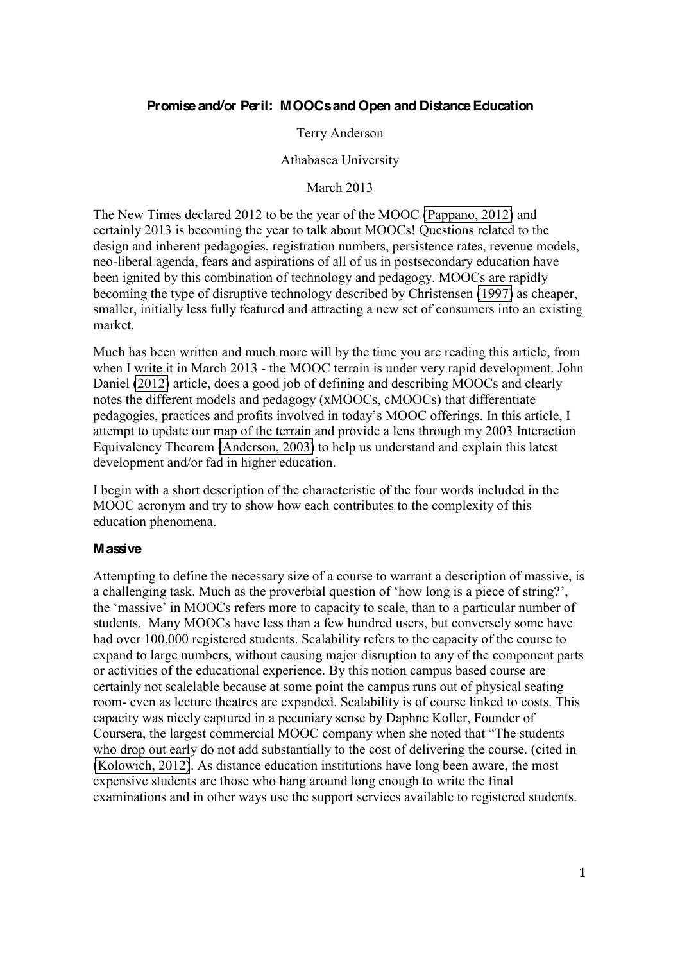# **Promise and/or Peril: MOOCs and Open and Distance Education**

## Terry Anderson

### Athabasca University

March 2013

The New Times declared 2012 to be the year of the MOOC (Pappano, 2012) and certainly 2013 is becoming the year to talk about MOOCs! Questions related to the design and inherent pedagogies, registration numbers, persistence rates, revenue models, neo-liberal agenda, fears and aspirations of all of us in postsecondary education have been ignited by this combination of technology and pedagogy. MOOCs are rapidly becoming the type of disruptive technology described by Christensen (1997) as cheaper, smaller, initially less fully featured and attracting a new set of consumers into an existing market.

Much has been written and much more will by the time you are reading this article, from when I write it in March 2013 - the MOOC terrain is under very rapid development. John Daniel (2012) article, does a good job of defining and describing MOOCs and clearly notes the different models and pedagogy (xMOOCs, cMOOCs) that differentiate pedagogies, practices and profits involved in today's MOOC offerings. In this article, I attempt to update our map of the terrain and provide a lens through my 2003 Interaction Equivalency Theorem (Anderson, 2003) to help us understand and explain this latest development and/or fad in higher education.

I begin with a short description of the characteristic of the four words included in the MOOC acronym and try to show how each contributes to the complexity of this education phenomena.

### **Massive**

Attempting to define the necessary size of a course to warrant a description of massive, is a challenging task. Much as the proverbial question of 'how long is a piece of string?', the 'massive' in MOOCs refers more to capacity to scale, than to a particular number of students. Many MOOCs have less than a few hundred users, but conversely some have had over 100,000 registered students. Scalability refers to the capacity of the course to expand to large numbers, without causing major disruption to any of the component parts or activities of the educational experience. By this notion campus based course are certainly not scalelable because at some point the campus runs out of physical seating room- even as lecture theatres are expanded. Scalability is of course linked to costs. This capacity was nicely captured in a pecuniary sense by Daphne Koller, Founder of Coursera, the largest commercial MOOC company when she noted that "The students" who drop out early do not add substantially to the cost of delivering the course. (cited in (Kolowich, 2012). As distance education institutions have long been aware, the most expensive students are those who hang around long enough to write the final examinations and in other ways use the support services available to registered students.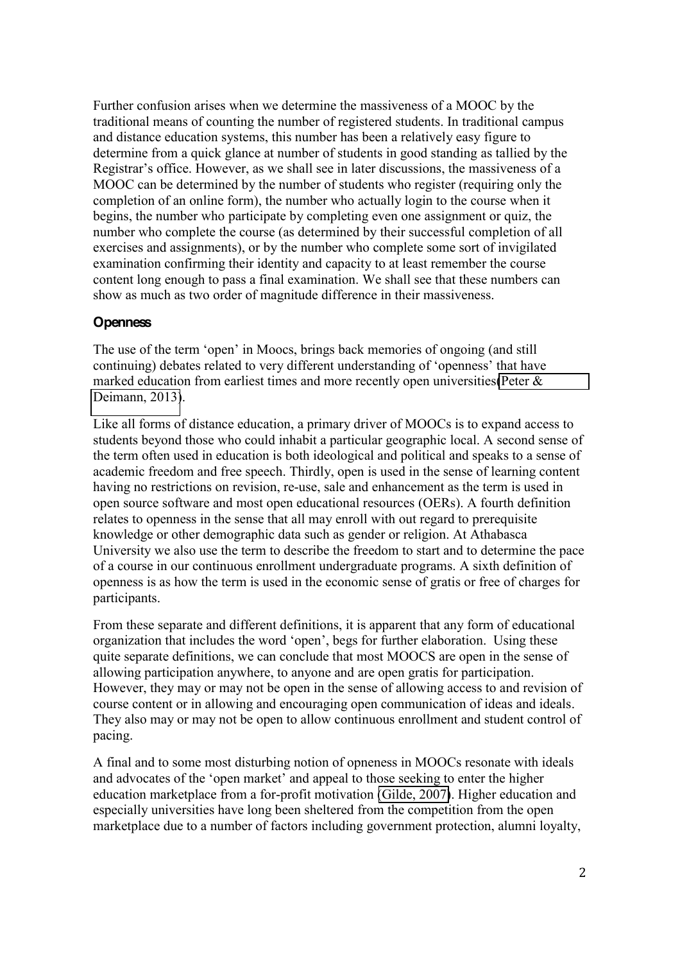Further confusion arises when we determine the massiveness of a MOOC by the traditional means of counting the number of registered students. In traditional campus and distance education systems, this number has been a relatively easy figure to determine from a quick glance at number of students in good standing as tallied by the Registrar's office. However, as we shall see in later discussions, the massiveness of a MOOC can be determined by the number of students who register (requiring only the completion of an online form), the number who actually login to the course when it begins, the number who participate by completing even one assignment or quiz, the number who complete the course (as determined by their successful completion of all exercises and assignments), or by the number who complete some sort of invigilated examination confirming their identity and capacity to at least remember the course content long enough to pass a final examination. We shall see that these numbers can show as much as two order of magnitude difference in their massiveness.

# **Openness**

The use of the term 'open' in Moocs, brings back memories of ongoing (and still continuing) debates related to very different understanding of 'openness' that have marked education from earliest times and more recently open universities (Peter  $\&$ Deimann, 2013).

Like all forms of distance education, a primary driver of MOOCs is to expand access to students beyond those who could inhabit a particular geographic local. A second sense of the term often used in education is both ideological and political and speaks to a sense of academic freedom and free speech. Thirdly, open is used in the sense of learning content having no restrictions on revision, re-use, sale and enhancement as the term is used in open source software and most open educational resources (OERs). A fourth definition relates to openness in the sense that all may enroll with out regard to prerequisite knowledge or other demographic data such as gender or religion. At Athabasca University we also use the term to describe the freedom to start and to determine the pace of a course in our continuous enrollment undergraduate programs. A sixth definition of openness is as how the term is used in the economic sense of gratis or free of charges for participants.

From these separate and different definitions, it is apparent that any form of educational organization that includes the word 'open', begs for further elaboration. Using these quite separate definitions, we can conclude that most MOOCS are open in the sense of allowing participation anywhere, to anyone and are open gratis for participation. However, they may or may not be open in the sense of allowing access to and revision of course content or in allowing and encouraging open communication of ideas and ideals. They also may or may not be open to allow continuous enrollment and student control of pacing.

A final and to some most disturbing notion of opneness in MOOCs resonate with ideals and advocates of the 'open market' and appeal to those seeking to enter the higher education marketplace from a for-profit motivation (Gilde, 2007). Higher education and especially universities have long been sheltered from the competition from the open marketplace due to a number of factors including government protection, alumni loyalty,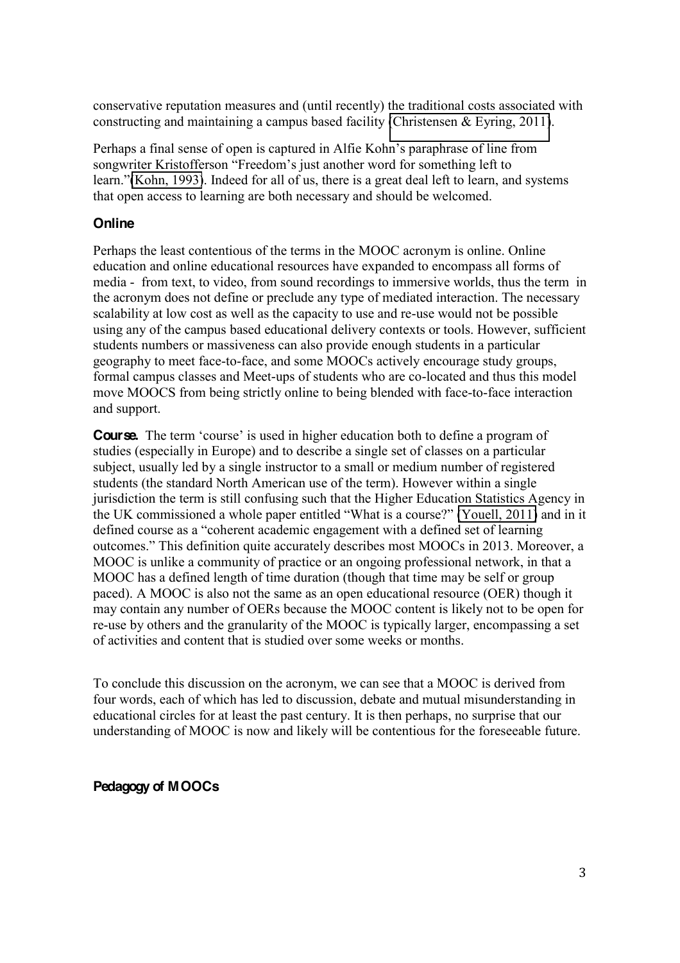conservative reputation measures and (until recently) the traditional costs associated with constructing and maintaining a campus based facility (Christensen & Eyring, 2011).

Perhaps a final sense of open is captured in Alfie Kohn's paraphrase of line from songwriter Kristofferson "Freedom's just another word for something left to learn." (Kohn, 1993). Indeed for all of us, there is a great deal left to learn, and systems that open access to learning are both necessary and should be welcomed.

# **Online**

Perhaps the least contentious of the terms in the MOOC acronym is online. Online education and online educational resources have expanded to encompass all forms of media - from text, to video, from sound recordings to immersive worlds, thus the term in the acronym does not define or preclude any type of mediated interaction. The necessary scalability at low cost as well as the capacity to use and re-use would not be possible using any of the campus based educational delivery contexts or tools. However, sufficient students numbers or massiveness can also provide enough students in a particular geography to meet face-to-face, and some MOOCs actively encourage study groups, formal campus classes and Meet-ups of students who are co-located and thus this model move MOOCS from being strictly online to being blended with face-to-face interaction and support.

**Course.** The term 'course' is used in higher education both to define a program of studies (especially in Europe) and to describe a single set of classes on a particular subject, usually led by a single instructor to a small or medium number of registered students (the standard North American use of the term). However within a single jurisdiction the term is still confusing such that the Higher Education Statistics Agency in the UK commissioned a whole paper entitled "What is a course?"  $\overline{[Youell, 2011]}$  and in it defined course as a "coherent academic engagement with a defined set of learning outcomes." This definition quite accurately describes most MOOCs in 2013. Moreover, a MOOC is unlike a community of practice or an ongoing professional network, in that a MOOC has a defined length of time duration (though that time may be self or group paced). A MOOC is also not the same as an open educational resource (OER) though it may contain any number of OERs because the MOOC content is likely not to be open for re-use by others and the granularity of the MOOC is typically larger, encompassing a set of activities and content that is studied over some weeks or months.

To conclude this discussion on the acronym, we can see that a MOOC is derived from four words, each of which has led to discussion, debate and mutual misunderstanding in educational circles for at least the past century. It is then perhaps, no surprise that our understanding of MOOC is now and likely will be contentious for the foreseeable future.

# **Pedagogy of MOOCs**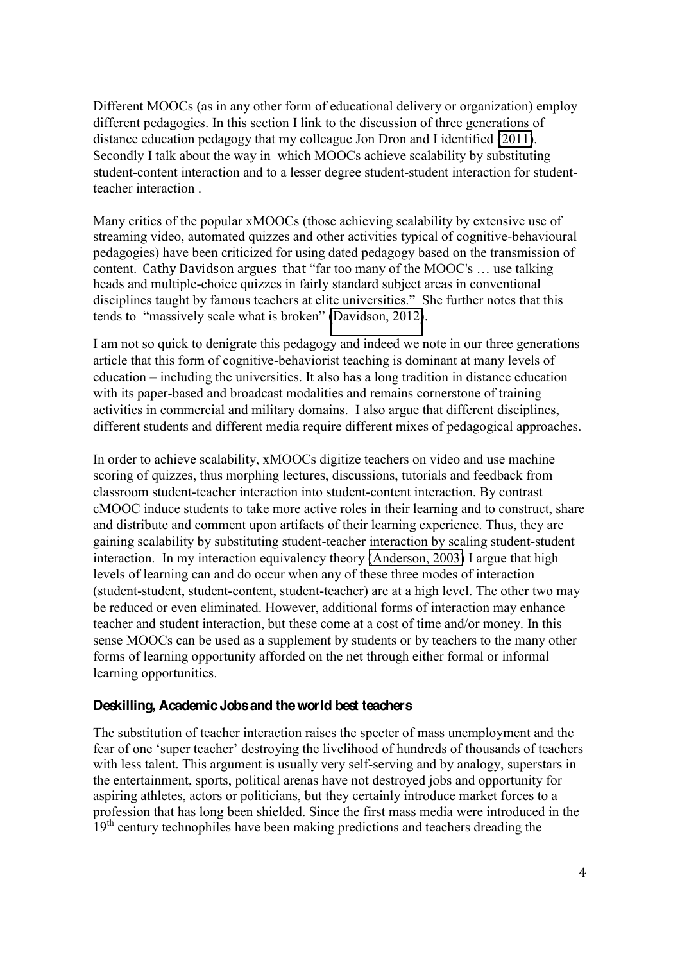Different MOOCs (as in any other form of educational delivery or organization) employ different pedagogies. In this section I link to the discussion of three generations of distance education pedagogy that my colleague Jon Dron and I identified (2011). Secondly I talk about the way in which MOOCs achieve scalability by substituting student-content interaction and to a lesser degree student-student interaction for studentteacher interaction .

Many critics of the popular xMOOCs (those achieving scalability by extensive use of streaming video, automated quizzes and other activities typical of cognitive-behavioural pedagogies) have been criticized for using dated pedagogy based on the transmission of content. Cathy Davidson argues that "far too many of the MOOC's ... use talking heads and multiple-choice quizzes in fairly standard subject areas in conventional disciplines taught by famous teachers at elite universities." She further notes that this tends to "massively scale what is broken"  $\boxed{\text{Davidson}, 2012}$ .

I am not so quick to denigrate this pedagogy and indeed we note in our three generations article that this form of cognitive-behaviorist teaching is dominant at many levels of  $eduction - including the universities. It also has a long tradition in distance education$ with its paper-based and broadcast modalities and remains cornerstone of training activities in commercial and military domains. I also argue that different disciplines, different students and different media require different mixes of pedagogical approaches.

In order to achieve scalability, xMOOCs digitize teachers on video and use machine scoring of quizzes, thus morphing lectures, discussions, tutorials and feedback from classroom student-teacher interaction into student-content interaction. By contrast cMOOC induce students to take more active roles in their learning and to construct, share and distribute and comment upon artifacts of their learning experience. Thus, they are gaining scalability by substituting student-teacher interaction by scaling student-student interaction. In my interaction equivalency theory (Anderson, 2003) I argue that high levels of learning can and do occur when any of these three modes of interaction (student-student, student-content, student-teacher) are at a high level. The other two may be reduced or even eliminated. However, additional forms of interaction may enhance teacher and student interaction, but these come at a cost of time and/or money. In this sense MOOCs can be used as a supplement by students or by teachers to the many other forms of learning opportunity afforded on the net through either formal or informal learning opportunities.

## **Deskilling, Academic Jobs and the world best teachers**

The substitution of teacher interaction raises the specter of mass unemployment and the fear of one 'super teacher' destroying the livelihood of hundreds of thousands of teachers with less talent. This argument is usually very self-serving and by analogy, superstars in the entertainment, sports, political arenas have not destroyed jobs and opportunity for aspiring athletes, actors or politicians, but they certainly introduce market forces to a profession that has long been shielded. Since the first mass media were introduced in the 19<sup>th</sup> century technophiles have been making predictions and teachers dreading the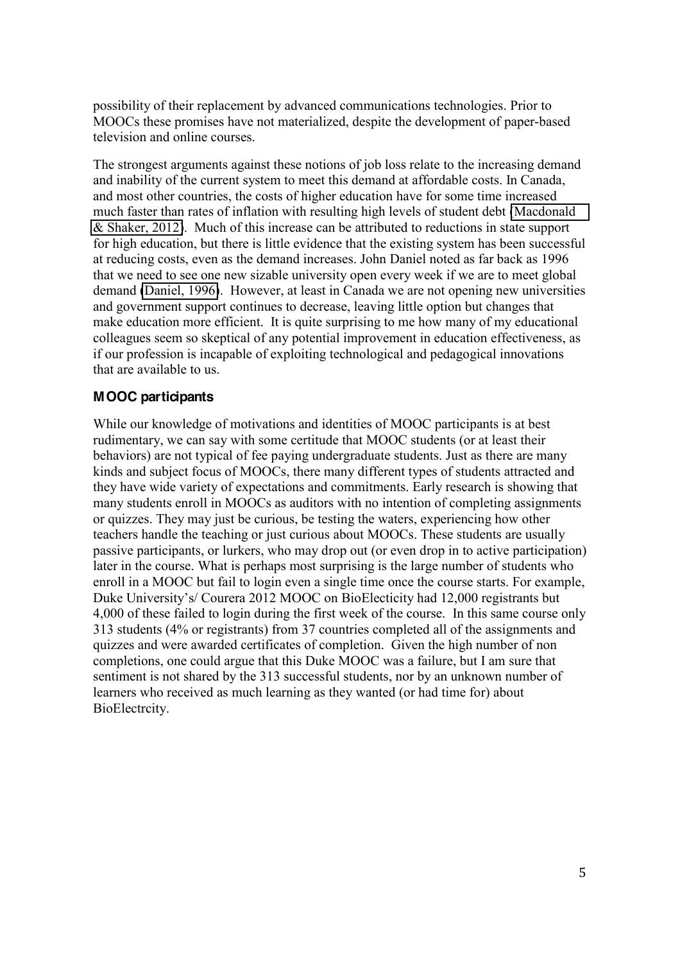possibility of their replacement by advanced communications technologies. Prior to MOOCs these promises have not materialized, despite the development of paper-based television and online courses.

The strongest arguments against these notions of job loss relate to the increasing demand and inability of the current system to meet this demand at affordable costs. In Canada, and most other countries, the costs of higher education have for some time increased much faster than rates of inflation with resulting high levels of student debt (Macdonald & Shaker, 2012). Much of this increase can be attributed to reductions in state support for high education, but there is little evidence that the existing system has been successful at reducing costs, even as the demand increases. John Daniel noted as far back as 1996 that we need to see one new sizable university open every week if we are to meet global demand (Daniel, 1996). However, at least in Canada we are not opening new universities and government support continues to decrease, leaving little option but changes that make education more efficient. It is quite surprising to me how many of my educational colleagues seem so skeptical of any potential improvement in education effectiveness, as if our profession is incapable of exploiting technological and pedagogical innovations that are available to us.

# **MOOC participants**

While our knowledge of motivations and identities of MOOC participants is at best rudimentary, we can say with some certitude that MOOC students (or at least their behaviors) are not typical of fee paying undergraduate students. Just as there are many kinds and subject focus of MOOCs, there many different types of students attracted and they have wide variety of expectations and commitments. Early research is showing that many students enroll in MOOCs as auditors with no intention of completing assignments or quizzes. They may just be curious, be testing the waters, experiencing how other teachers handle the teaching or just curious about MOOCs. These students are usually passive participants, or lurkers, who may drop out (or even drop in to active participation) later in the course. What is perhaps most surprising is the large number of students who enroll in a MOOC but fail to login even a single time once the course starts. For example, Duke University's/Courera 2012 MOOC on BioElecticity had 12,000 registrants but 4,000 of these failed to login during the first week of the course. In this same course only 313 students (4% or registrants) from 37 countries completed all of the assignments and quizzes and were awarded certificates of completion. Given the high number of non completions, one could argue that this Duke MOOC was a failure, but I am sure that sentiment is not shared by the 313 successful students, nor by an unknown number of learners who received as much learning as they wanted (or had time for) about BioElectrcity.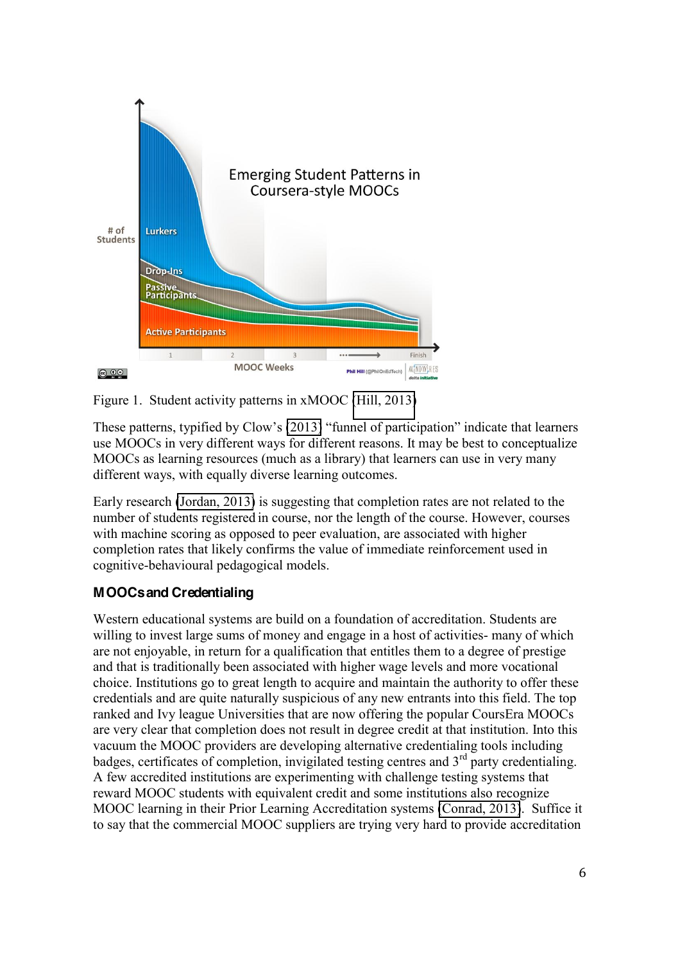



These patterns, typified by Clow's  $\overline{2013}$  "funnel of participation" indicate that learners use MOOCs in very different ways for different reasons. It may be best to conceptualize MOOCs as learning resources (much as a library) that learners can use in very many different ways, with equally diverse learning outcomes.

Early research (Jordan, 2013) is suggesting that completion rates are not related to the number of students registered in course, nor the length of the course. However, courses with machine scoring as opposed to peer evaluation, are associated with higher completion rates that likely confirms the value of immediate reinforcement used in cognitive-behavioural pedagogical models.

# **MOOCs and Credentialing**

Western educational systems are build on a foundation of accreditation. Students are willing to invest large sums of money and engage in a host of activities- many of which are not enjoyable, in return for a qualification that entitles them to a degree of prestige and that is traditionally been associated with higher wage levels and more vocational choice. Institutions go to great length to acquire and maintain the authority to offer these credentials and are quite naturally suspicious of any new entrants into this field. The top ranked and Ivy league Universities that are now offering the popular CoursEra MOOCs are very clear that completion does not result in degree credit at that institution. Into this vacuum the MOOC providers are developing alternative credentialing tools including badges, certificates of completion, invigilated testing centres and  $3<sup>rd</sup>$  party credentialing. A few accredited institutions are experimenting with challenge testing systems that reward MOOC students with equivalent credit and some institutions also recognize MOOC learning in their Prior Learning Accreditation systems (Conrad, 2013). Suffice it to say that the commercial MOOC suppliers are trying very hard to provide accreditation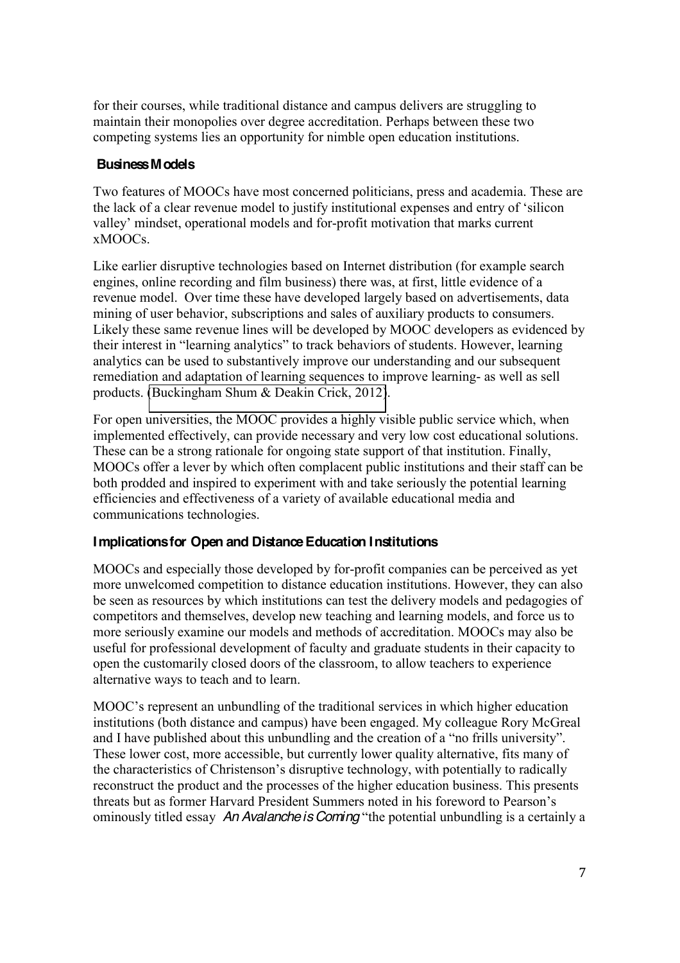for their courses, while traditional distance and campus delivers are struggling to maintain their monopolies over degree accreditation. Perhaps between these two competing systems lies an opportunity for nimble open education institutions.

# **Business Models**

Two features of MOOCs have most concerned politicians, press and academia. These are the lack of a clear revenue model to justify institutional expenses and entry of 'silicon valley' mindset, operational models and for-profit motivation that marks current xMOOCs.

Like earlier disruptive technologies based on Internet distribution (for example search engines, online recording and film business) there was, at first, little evidence of a revenue model. Over time these have developed largely based on advertisements, data mining of user behavior, subscriptions and sales of auxiliary products to consumers. Likely these same revenue lines will be developed by MOOC developers as evidenced by their interest in "learning analytics" to track behaviors of students. However, learning analytics can be used to substantively improve our understanding and our subsequent remediation and adaptation of learning sequences to improve learning- as well as sell products. (Buckingham Shum & Deakin Crick, 2012).

For open universities, the MOOC provides a highly visible public service which, when implemented effectively, can provide necessary and very low cost educational solutions. These can be a strong rationale for ongoing state support of that institution. Finally, MOOCs offer a lever by which often complacent public institutions and their staff can be both prodded and inspired to experiment with and take seriously the potential learning efficiencies and effectiveness of a variety of available educational media and communications technologies.

# **Implications for Open and Distance Education Institutions**

MOOCs and especially those developed by for-profit companies can be perceived as yet more unwelcomed competition to distance education institutions. However, they can also be seen as resources by which institutions can test the delivery models and pedagogies of competitors and themselves, develop new teaching and learning models, and force us to more seriously examine our models and methods of accreditation. MOOCs may also be useful for professional development of faculty and graduate students in their capacity to open the customarily closed doors of the classroom, to allow teachers to experience alternative ways to teach and to learn.

MOOC's represent an unbundling of the traditional services in which higher education institutions (both distance and campus) have been engaged. My colleague Rory McGreal and I have published about this unbundling and the creation of a "no frills university". These lower cost, more accessible, but currently lower quality alternative, fits many of the characteristics of Christenson's disruptive technology, with potentially to radically reconstruct the product and the processes of the higher education business. This presents threats but as former Harvard President Summers noted in his foreword to Pearson's ominously titled essay *An Avalanche is Coming* "the potential unbundling is a certainly a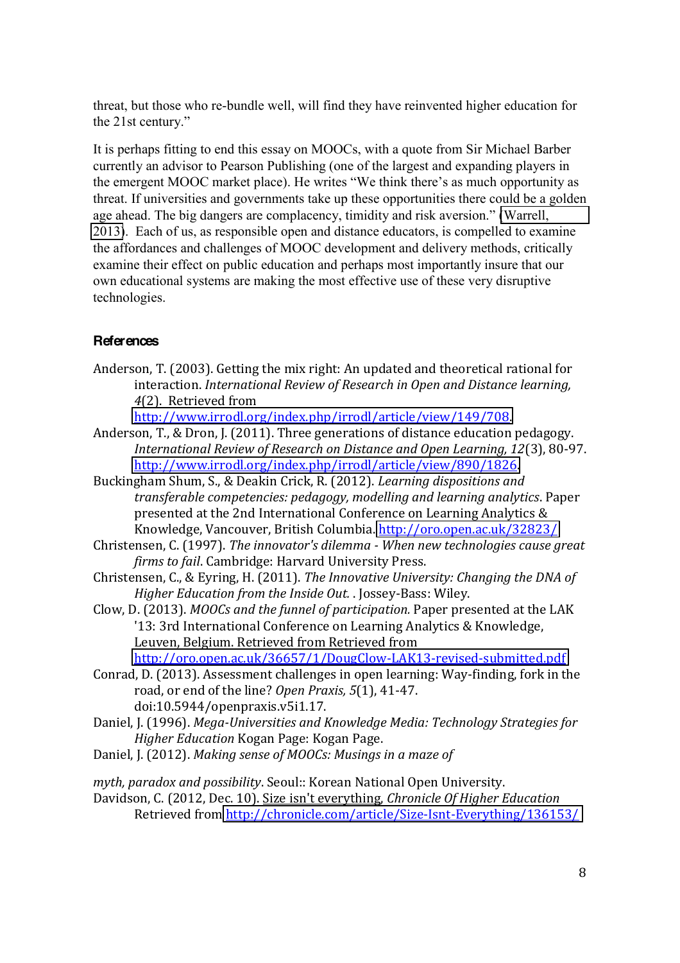threat, but those who re-bundle well, will find they have reinvented higher education for the  $21st$  century."

It is perhaps fitting to end this essay on MOOCs, with a quote from Sir Michael Barber currently an advisor to Pearson Publishing (one of the largest and expanding players in the emergent MOOC market place). He writes "We think there's as much opportunity as threat. If universities and governments take up these opportunities there could be a golden age ahead. The big dangers are complacency, timidity and risk aversion." Warrell, 2013). Each of us, as responsible open and distance educators, is compelled to examine the affordances and challenges of MOOC development and delivery methods, critically examine their effect on public education and perhaps most importantly insure that our own educational systems are making the most effective use of these very disruptive technologies.

# **References**

Anderson, T. (2003). Getting the mix right: An updated and theoretical rational for interaction. *International Review of Research in Open and Distance learning,* 4(2). Retrieved from

http://www.irrodl.org/index.php/irrodl/article/view/149/708.

- Anderson, T., & Dron, J. (2011). Three generations of distance education pedagogy. *International Review of Research on Distance and Open Learning, 12(3), 80-97.* http://www.irrodl.org/index.php/irrodl/article/view/890/1826.
- Buckingham Shum, S., & Deakin Crick, R. (2012). *Learning dispositions and transferable\*competencies:\*pedagogy,\*modelling\*and\*learning\*analytics*.!Paper presented at the 2nd International Conference on Learning Analytics & Knowledge, Vancouver, British Columbia. http://oro.open.ac.uk/32823/
- Christensen, C. (1997). *The innovator's dilemma When new technologies cause great firms to fail. Cambridge: Harvard University Press.*
- Christensen, C., & Eyring, H. (2011). *The Innovative University: Changing the DNA of Higher Education from the Inside Out.* . Jossey-Bass: Wiley.
- Clow, D. (2013). *MOOCs and the funnel of participation*. Paper presented at the LAK '13: 3rd International Conference on Learning Analytics & Knowledge, Leuven, Belgium. Retrieved from Retrieved from

http://oro.open.ac.uk/36657/1/DougClow-LAK13-revised-submitted.pdf

- Conrad, D. (2013). Assessment challenges in open learning: Way-finding, fork in the road, or end of the line? *Open Praxis*, 5(1), 41-47. doi:10.5944/openpraxis.v5i1.17.
- Daniel, J. (1996). *Mega-Universities and Knowledge Media: Technology Strategies for Higher Education* Kogan Page: Kogan Page.

Daniel, J. (2012). *Making sense of MOOCs: Musings in a maze of* 

*myth, paradox and possibility.* Seoul:: Korean National Open University.

Davidson, C. (2012, Dec. 10). Size isn't everything, *Chronicle Of Higher Education* Retrieved from http://chronicle.com/article/Size-Isnt-Everything/136153/